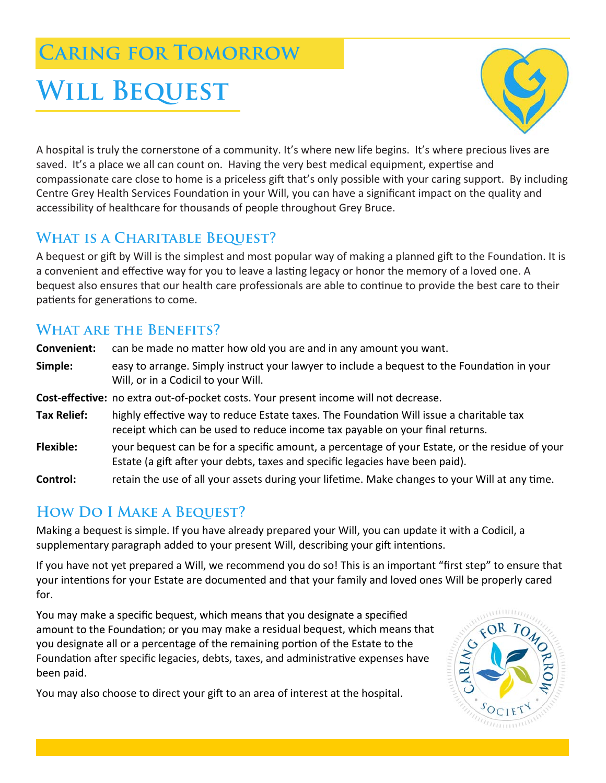## **Caring for Tomorrow**

# WILL BEQUEST



A hospital is truly the cornerstone of a community. It's where new life begins. It's where precious lives are saved. It's a place we all can count on. Having the very best medical equipment, expertise and compassionate care close to home is a priceless gift that's only possible with your caring support. By including Centre Grey Health Services Foundation in your Will, you can have a significant impact on the quality and accessibility of healthcare for thousands of people throughout Grey Bruce.

## **What is a Charitable Bequest?**

A bequest or gift by Will is the simplest and most popular way of making a planned gift to the Foundation. It is a convenient and effective way for you to leave a lasting legacy or honor the memory of a loved one. A bequest also ensures that our health care professionals are able to continue to provide the best care to their patients for generations to come.

## **What are the Benefits?**

**Convenient:** can be made no matter how old you are and in any amount you want. Simple: easy to arrange. Simply instruct your lawyer to include a bequest to the Foundation in your Will, or in a Codicil to your Will. **Cost-effective:** no extra out-of-pocket costs. Your present income will not decrease. **Tax Relief:** highly effective way to reduce Estate taxes. The Foundation Will issue a charitable tax receipt which can be used to reduce income tax payable on your final returns. **Flexible:** your bequest can be for a specific amount, a percentage of your Estate, or the residue of your Estate (a gift after your debts, taxes and specific legacies have been paid).

**Control:** retain the use of all your assets during your lifetime. Make changes to your Will at any time.

## **How Do I Make a Bequest?**

Making a bequest is simple. If you have already prepared your Will, you can update it with a Codicil, a supplementary paragraph added to your present Will, describing your gift intentions.

If you have not yet prepared a Will, we recommend you do so! This is an important "first step" to ensure that your intentions for your Estate are documented and that your family and loved ones Will be properly cared for.

You may make a specific bequest, which means that you designate a specified amount to the Foundation; or you may make a residual bequest, which means that you designate all or a percentage of the remaining portion of the Estate to the Foundation after specific legacies, debts, taxes, and administrative expenses have been paid.

You may also choose to direct your gift to an area of interest at the hospital.